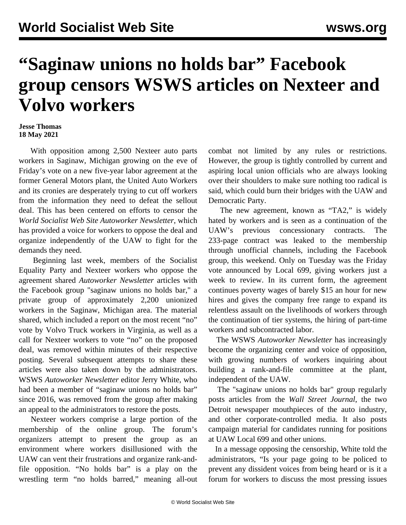## **"Saginaw unions no holds bar" Facebook group censors WSWS articles on Nexteer and Volvo workers**

## **Jesse Thomas 18 May 2021**

 With opposition among 2,500 Nexteer auto parts workers in Saginaw, Michigan growing on the eve of Friday's vote on a new five-year labor agreement at the former General Motors plant, the United Auto Workers and its cronies are desperately trying to cut off workers from the information they need to defeat the sellout deal. This has been centered on efforts to censor the *World Socialist Web Site Autoworker Newsletter*, which has provided a voice for workers to oppose the deal and organize independently of the UAW to fight for the demands they need.

 Beginning last week, members of the Socialist Equality Party and Nexteer workers who oppose the agreement shared *Autoworker Newsletter* articles with the Facebook group "saginaw unions no holds bar," a private group of approximately 2,200 unionized workers in the Saginaw, Michigan area. The material shared, which included a [report](/en/articles/2021/05/18/volv-m18.html) on the most recent "no" vote by Volvo Truck workers in Virginia, as well as a [call for Nexteer workers to vote "no"](/en/articles/2021/05/17/next-m17.html) on the proposed deal, was removed within minutes of their respective posting. Several subsequent attempts to share these articles were also taken down by the administrators. WSWS *Autoworker Newsletter* editor Jerry White, who had been a member of "saginaw unions no holds bar" since 2016, was removed from the group after making an appeal to the administrators to restore the posts.

 Nexteer workers comprise a large portion of the membership of the online group. The forum's organizers attempt to present the group as an environment where workers disillusioned with the UAW can vent their frustrations and organize rank-andfile opposition. "No holds bar" is a play on the wrestling term "no holds barred," meaning all-out combat not limited by any rules or restrictions. However, the group is tightly controlled by current and aspiring local union officials who are always looking over their shoulders to make sure nothing too radical is said, which could burn their bridges with the UAW and Democratic Party.

 The new agreement, known as "TA2," is widely hated by workers and is seen as a continuation of the UAW's previous concessionary contracts. The 233-page contract was leaked to the membership through unofficial channels, including the Facebook group, this weekend. Only on Tuesday was the Friday vote announced by Local 699, giving workers just a week to review. In its current form, the agreement continues poverty wages of barely \$15 an hour for new hires and gives the company free range to expand its relentless assault on the livelihoods of workers through the continuation of tier systems, the hiring of part-time workers and subcontracted labor.

 The WSWS *Autoworker Newsletter* has increasingly become the organizing center and voice of opposition, with growing numbers of workers inquiring about building a rank-and-file committee at the plant, independent of the UAW.

 The "saginaw unions no holds bar" group regularly posts articles from the *Wall Street Journal*, the two Detroit newspaper mouthpieces of the auto industry, and other corporate-controlled media. It also posts campaign material for candidates running for positions at UAW Local 699 and other unions.

 In a message opposing the censorship, White told the administrators, "Is your page going to be policed to prevent any dissident voices from being heard or is it a forum for workers to discuss the most pressing issues